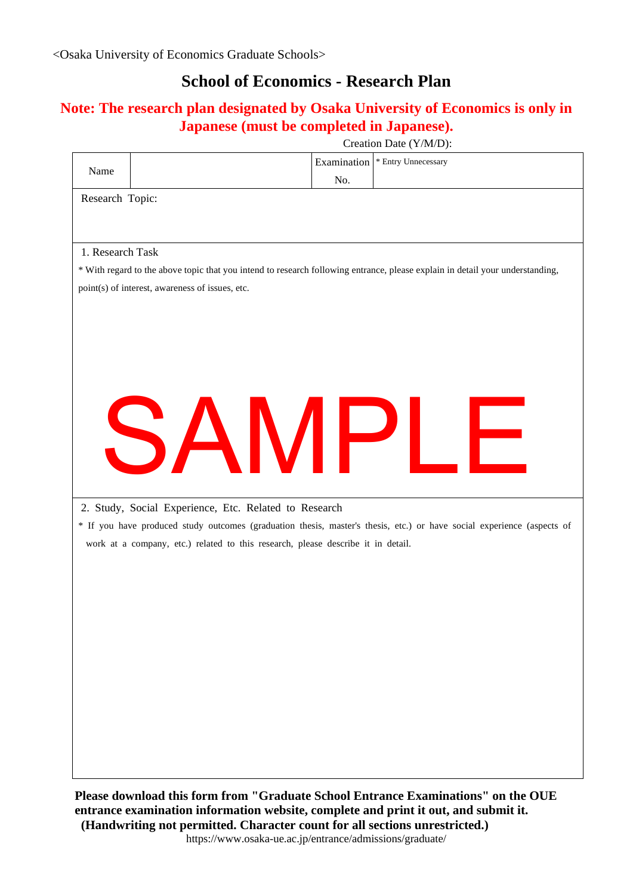## **School of Economics - Research Plan**

## **Note: The research plan designated by Osaka University of Economics is only in Japanese (must be completed in Japanese).**

|                                                                                                                               | Creation Date (Y/M/D):                                |     |                                                                                                                        |  |
|-------------------------------------------------------------------------------------------------------------------------------|-------------------------------------------------------|-----|------------------------------------------------------------------------------------------------------------------------|--|
| Name                                                                                                                          |                                                       |     | Examination   * Entry Unnecessary                                                                                      |  |
|                                                                                                                               |                                                       | No. |                                                                                                                        |  |
| Research Topic:                                                                                                               |                                                       |     |                                                                                                                        |  |
|                                                                                                                               |                                                       |     |                                                                                                                        |  |
|                                                                                                                               |                                                       |     |                                                                                                                        |  |
| 1. Research Task                                                                                                              |                                                       |     |                                                                                                                        |  |
| * With regard to the above topic that you intend to research following entrance, please explain in detail your understanding, |                                                       |     |                                                                                                                        |  |
| point(s) of interest, awareness of issues, etc.                                                                               |                                                       |     |                                                                                                                        |  |
|                                                                                                                               |                                                       |     |                                                                                                                        |  |
|                                                                                                                               |                                                       |     |                                                                                                                        |  |
|                                                                                                                               |                                                       |     |                                                                                                                        |  |
|                                                                                                                               |                                                       |     |                                                                                                                        |  |
|                                                                                                                               |                                                       |     |                                                                                                                        |  |
|                                                                                                                               |                                                       |     |                                                                                                                        |  |
|                                                                                                                               | SAMPLI                                                |     |                                                                                                                        |  |
|                                                                                                                               |                                                       |     | ⊢                                                                                                                      |  |
|                                                                                                                               |                                                       |     |                                                                                                                        |  |
|                                                                                                                               |                                                       |     |                                                                                                                        |  |
|                                                                                                                               |                                                       |     |                                                                                                                        |  |
|                                                                                                                               | 2. Study, Social Experience, Etc. Related to Research |     |                                                                                                                        |  |
|                                                                                                                               |                                                       |     | * If you have produced study outcomes (graduation thesis, master's thesis, etc.) or have social experience (aspects of |  |
| work at a company, etc.) related to this research, please describe it in detail.                                              |                                                       |     |                                                                                                                        |  |
|                                                                                                                               |                                                       |     |                                                                                                                        |  |
|                                                                                                                               |                                                       |     |                                                                                                                        |  |
|                                                                                                                               |                                                       |     |                                                                                                                        |  |
|                                                                                                                               |                                                       |     |                                                                                                                        |  |
|                                                                                                                               |                                                       |     |                                                                                                                        |  |
|                                                                                                                               |                                                       |     |                                                                                                                        |  |
|                                                                                                                               |                                                       |     |                                                                                                                        |  |
|                                                                                                                               |                                                       |     |                                                                                                                        |  |
|                                                                                                                               |                                                       |     |                                                                                                                        |  |
|                                                                                                                               |                                                       |     |                                                                                                                        |  |
|                                                                                                                               |                                                       |     |                                                                                                                        |  |
|                                                                                                                               |                                                       |     |                                                                                                                        |  |
|                                                                                                                               |                                                       |     |                                                                                                                        |  |
|                                                                                                                               |                                                       |     | Please download this form from "Graduate School Entrance Examinations" on the OUE                                      |  |

**entrance examination information website, complete and print it out, and submit it. (Handwriting not permitted. Character count for all sections unrestricted.)** 

https://www.osaka-ue.ac.jp/entrance/admissions/graduate/